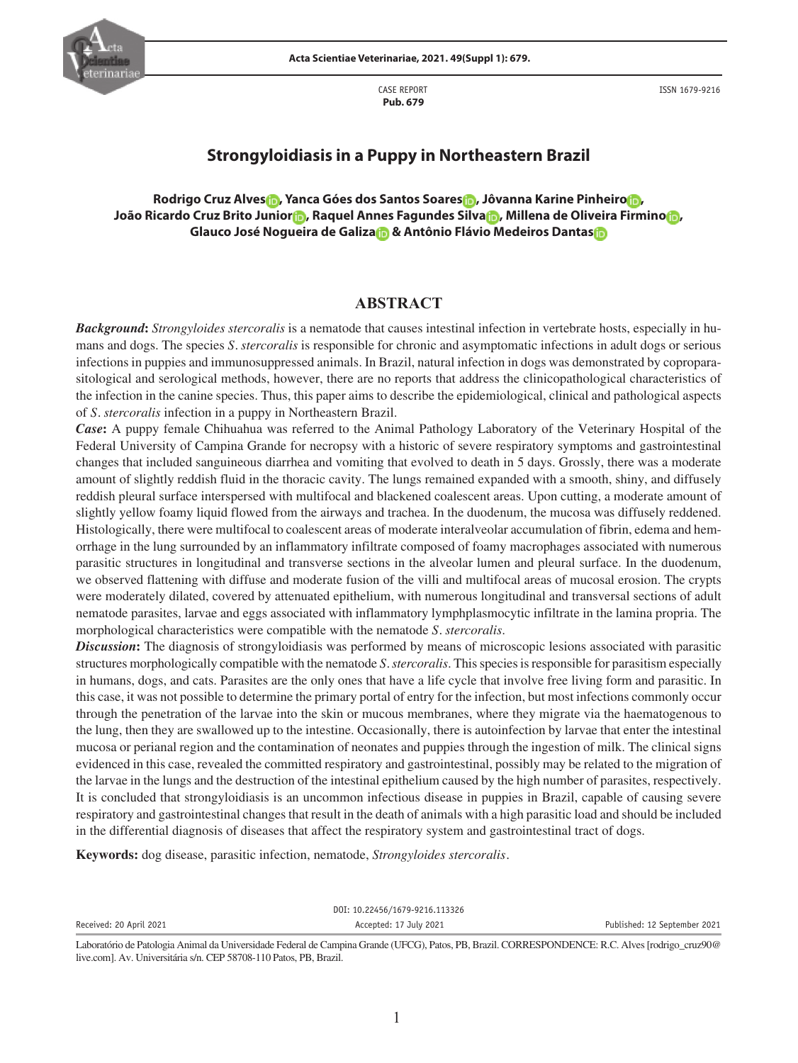CASE REPORT  **Pub. 679**

ISSN 1679-9216



# **Strongyloidiasis in a Puppy in Northeastern Brazil**

**Rodrigo Cruz Alve[s](http://orcid.org/0000-0003-3250-7976) , Yanca Góes dos Santos Soares [,](http://orcid.org/0000-0002-8343-3316) Jôvanna Karine Pinheir[o](https://orcid.org/0000-0001-6669-5990) , João Ricardo Cruz Brito Junio[r](https://orcid.org/0000-0001-9842-8045) , Raquel Annes Fagundes Silva [,](https://orcid.org/0000-0001-5847-6931) Millena de Oliveira Firmin[o](https://orcid.org/0000-0002-8283-6666) , Glauco José Nogueira de Galiz[a &](https://orcid.org/0000-0002-0551-1964) Antônio Flávio Medeiros Danta[s](https://orcid.org/0000-0002-6123-2273)**

# **ABSTRACT**

*Background***:** *Strongyloides stercoralis* is a nematode that causes intestinal infection in vertebrate hosts, especially in humans and dogs. The species *S. stercoralis* is responsible for chronic and asymptomatic infections in adult dogs or serious infections in puppies and immunosuppressed animals. In Brazil, natural infection in dogs was demonstrated by coproparasitological and serological methods, however, there are no reports that address the clinicopathological characteristics of the infection in the canine species. Thus, this paper aims to describe the epidemiological, clinical and pathological aspects of *S. stercoralis* infection in a puppy in Northeastern Brazil.

*Case***:** A puppy female Chihuahua was referred to the Animal Pathology Laboratory of the Veterinary Hospital of the Federal University of Campina Grande for necropsy with a historic of severe respiratory symptoms and gastrointestinal changes that included sanguineous diarrhea and vomiting that evolved to death in 5 days. Grossly, there was a moderate amount of slightly reddish fluid in the thoracic cavity. The lungs remained expanded with a smooth, shiny, and diffusely reddish pleural surface interspersed with multifocal and blackened coalescent areas. Upon cutting, a moderate amount of slightly yellow foamy liquid flowed from the airways and trachea. In the duodenum, the mucosa was diffusely reddened. Histologically, there were multifocal to coalescent areas of moderate interalveolar accumulation of fibrin, edema and hemorrhage in the lung surrounded by an inflammatory infiltrate composed of foamy macrophages associated with numerous parasitic structures in longitudinal and transverse sections in the alveolar lumen and pleural surface. In the duodenum, we observed flattening with diffuse and moderate fusion of the villi and multifocal areas of mucosal erosion. The crypts were moderately dilated, covered by attenuated epithelium, with numerous longitudinal and transversal sections of adult nematode parasites, larvae and eggs associated with inflammatory lymphplasmocytic infiltrate in the lamina propria. The morphological characteristics were compatible with the nematode *S. stercoralis*.

*Discussion***:** The diagnosis of strongyloidiasis was performed by means of microscopic lesions associated with parasitic structures morphologically compatible with the nematode *S. stercoralis*. This species is responsible for parasitism especially in humans, dogs, and cats. Parasites are the only ones that have a life cycle that involve free living form and parasitic. In this case, it was not possible to determine the primary portal of entry for the infection, but most infections commonly occur through the penetration of the larvae into the skin or mucous membranes, where they migrate via the haematogenous to the lung, then they are swallowed up to the intestine. Occasionally, there is autoinfection by larvae that enter the intestinal mucosa or perianal region and the contamination of neonates and puppies through the ingestion of milk. The clinical signs evidenced in this case, revealed the committed respiratory and gastrointestinal, possibly may be related to the migration of the larvae in the lungs and the destruction of the intestinal epithelium caused by the high number of parasites, respectively. It is concluded that strongyloidiasis is an uncommon infectious disease in puppies in Brazil, capable of causing severe respiratory and gastrointestinal changes that result in the death of animals with a high parasitic load and should be included in the differential diagnosis of diseases that affect the respiratory system and gastrointestinal tract of dogs.

**Keywords:** dog disease, parasitic infection, nematode, *Strongyloides stercoralis.*

|                         | DOI: 10.22456/1679-9216.113326 |                              |
|-------------------------|--------------------------------|------------------------------|
| Received: 20 April 2021 | Accepted: 17 July 2021         | Published: 12 September 2021 |
|                         |                                |                              |

Laboratório de Patologia Animal da Universidade Federal de Campina Grande (UFCG), Patos, PB, Brazil. CORRESPONDENCE: R.C. Alves [rodrigo\_cruz90@ live.com]. Av. Universitária s/n. CEP 58708-110 Patos, PB, Brazil.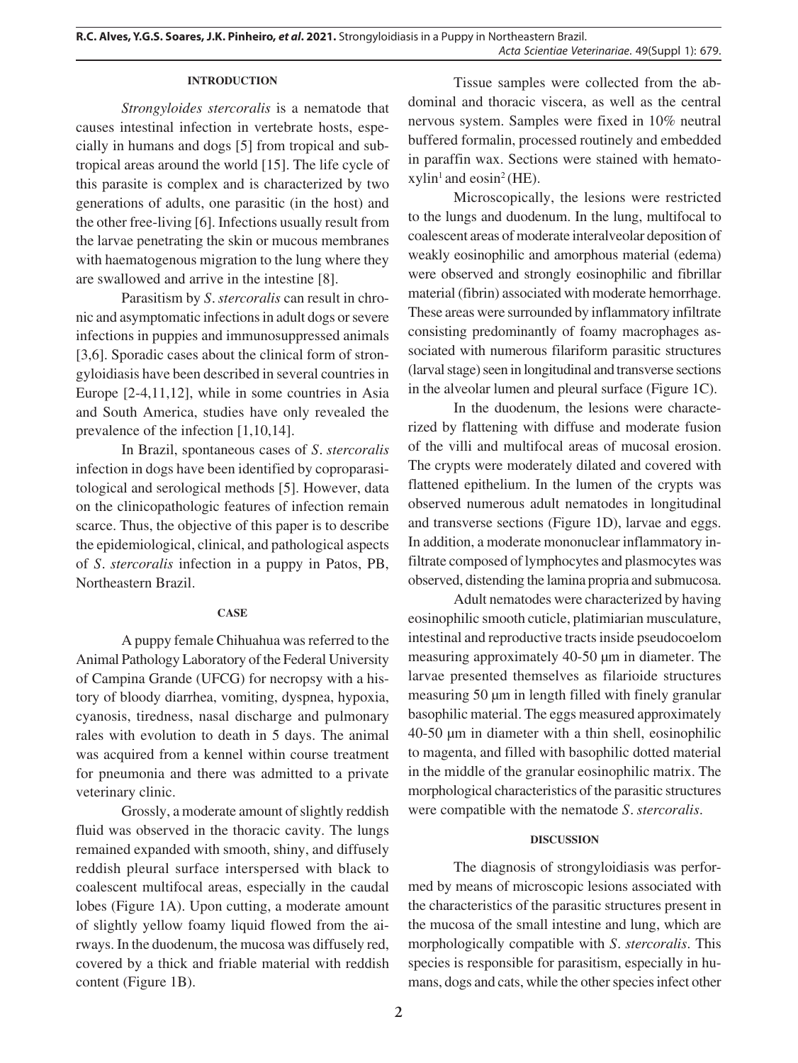### **INTRODUCTION**

*Strongyloides stercoralis* is a nematode that causes intestinal infection in vertebrate hosts, especially in humans and dogs [5] from tropical and subtropical areas around the world [15]. The life cycle of this parasite is complex and is characterized by two generations of adults, one parasitic (in the host) and the other free-living [6]. Infections usually result from the larvae penetrating the skin or mucous membranes with haematogenous migration to the lung where they are swallowed and arrive in the intestine [8].

Parasitism by *S. stercoralis* can result in chronic and asymptomatic infections in adult dogs or severe infections in puppies and immunosuppressed animals [3,6]. Sporadic cases about the clinical form of strongyloidiasis have been described in several countries in Europe [2-4,11,12], while in some countries in Asia and South America, studies have only revealed the prevalence of the infection [1,10,14].

In Brazil, spontaneous cases of *S. stercoralis* infection in dogs have been identified by coproparasitological and serological methods [5]. However, data on the clinicopathologic features of infection remain scarce. Thus, the objective of this paper is to describe the epidemiological, clinical, and pathological aspects of *S. stercoralis* infection in a puppy in Patos, PB, Northeastern Brazil.

### **CASE**

A puppy female Chihuahua was referred to the Animal Pathology Laboratory of the Federal University of Campina Grande (UFCG) for necropsy with a history of bloody diarrhea, vomiting, dyspnea, hypoxia, cyanosis, tiredness, nasal discharge and pulmonary rales with evolution to death in 5 days. The animal was acquired from a kennel within course treatment for pneumonia and there was admitted to a private veterinary clinic.

Grossly, a moderate amount of slightly reddish fluid was observed in the thoracic cavity. The lungs remained expanded with smooth, shiny, and diffusely reddish pleural surface interspersed with black to coalescent multifocal areas, especially in the caudal lobes (Figure 1A). Upon cutting, a moderate amount of slightly yellow foamy liquid flowed from the airways. In the duodenum, the mucosa was diffusely red, covered by a thick and friable material with reddish content (Figure 1B).

Tissue samples were collected from the abdominal and thoracic viscera, as well as the central nervous system. Samples were fixed in 10% neutral buffered formalin, processed routinely and embedded in paraffin wax. Sections were stained with hemato $x$ ylin<sup>1</sup> and eosin<sup>2</sup> (HE).

Microscopically, the lesions were restricted to the lungs and duodenum. In the lung, multifocal to coalescent areas of moderate interalveolar deposition of weakly eosinophilic and amorphous material (edema) were observed and strongly eosinophilic and fibrillar material (fibrin) associated with moderate hemorrhage. These areas were surrounded by inflammatory infiltrate consisting predominantly of foamy macrophages associated with numerous filariform parasitic structures (larval stage) seen in longitudinal and transverse sections in the alveolar lumen and pleural surface (Figure 1C).

In the duodenum, the lesions were characterized by flattening with diffuse and moderate fusion of the villi and multifocal areas of mucosal erosion. The crypts were moderately dilated and covered with flattened epithelium. In the lumen of the crypts was observed numerous adult nematodes in longitudinal and transverse sections (Figure 1D), larvae and eggs. In addition, a moderate mononuclear inflammatory infiltrate composed of lymphocytes and plasmocytes was observed, distending the lamina propria and submucosa.

Adult nematodes were characterized by having eosinophilic smooth cuticle, platimiarian musculature, intestinal and reproductive tracts inside pseudocoelom measuring approximately 40-50 μm in diameter. The larvae presented themselves as filarioide structures measuring 50 μm in length filled with finely granular basophilic material. The eggs measured approximately 40-50 μm in diameter with a thin shell, eosinophilic to magenta, and filled with basophilic dotted material in the middle of the granular eosinophilic matrix. The morphological characteristics of the parasitic structures were compatible with the nematode *S. stercoralis*.

# **DISCUSSION**

The diagnosis of strongyloidiasis was performed by means of microscopic lesions associated with the characteristics of the parasitic structures present in the mucosa of the small intestine and lung, which are morphologically compatible with *S. stercoralis*. This species is responsible for parasitism, especially in humans, dogs and cats, while the other species infect other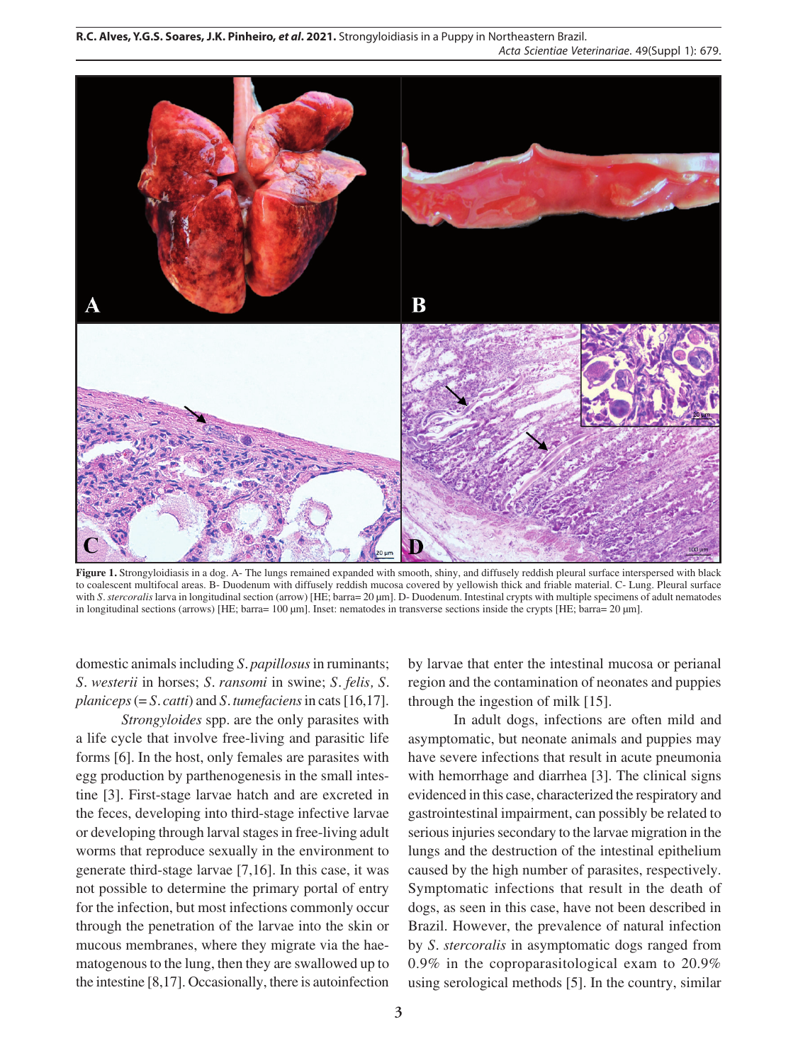

**Figure 1.** Strongyloidiasis in a dog. A- The lungs remained expanded with smooth, shiny, and diffusely reddish pleural surface interspersed with black to coalescent multifocal areas. B- Duodenum with diffusely reddish mucosa covered by yellowish thick and friable material. C- Lung. Pleural surface with *S. stercoralis* larva in longitudinal section (arrow) [HE; barra= 20 µm]. D- Duodenum. Intestinal crypts with multiple specimens of adult nematodes in longitudinal sections (arrows) [HE; barra= 100 µm]. Inset: nematodes in transverse sections inside the crypts [HE; barra= 20 µm].

domestic animals including *S. papillosus* in ruminants; *S. westerii* in horses; *S. ransomi* in swine; *S. felis, S. planiceps* (= *S. catti*) and *S. tumefaciens* in cats[16,17].

*Strongyloides* spp. are the only parasites with a life cycle that involve free-living and parasitic life forms [6]. In the host, only females are parasites with egg production by parthenogenesis in the small intestine [3]. First-stage larvae hatch and are excreted in the feces, developing into third-stage infective larvae or developing through larval stages in free-living adult worms that reproduce sexually in the environment to generate third-stage larvae [7,16]. In this case, it was not possible to determine the primary portal of entry for the infection, but most infections commonly occur through the penetration of the larvae into the skin or mucous membranes, where they migrate via the haematogenous to the lung, then they are swallowed up to the intestine [8,17]. Occasionally, there is autoinfection

by larvae that enter the intestinal mucosa or perianal region and the contamination of neonates and puppies through the ingestion of milk [15].

In adult dogs, infections are often mild and asymptomatic, but neonate animals and puppies may have severe infections that result in acute pneumonia with hemorrhage and diarrhea [3]. The clinical signs evidenced in this case, characterized the respiratory and gastrointestinal impairment, can possibly be related to serious injuries secondary to the larvae migration in the lungs and the destruction of the intestinal epithelium caused by the high number of parasites, respectively. Symptomatic infections that result in the death of dogs, as seen in this case, have not been described in Brazil. However, the prevalence of natural infection by *S. stercoralis* in asymptomatic dogs ranged from 0.9% in the coproparasitological exam to 20.9% using serological methods [5]. In the country, similar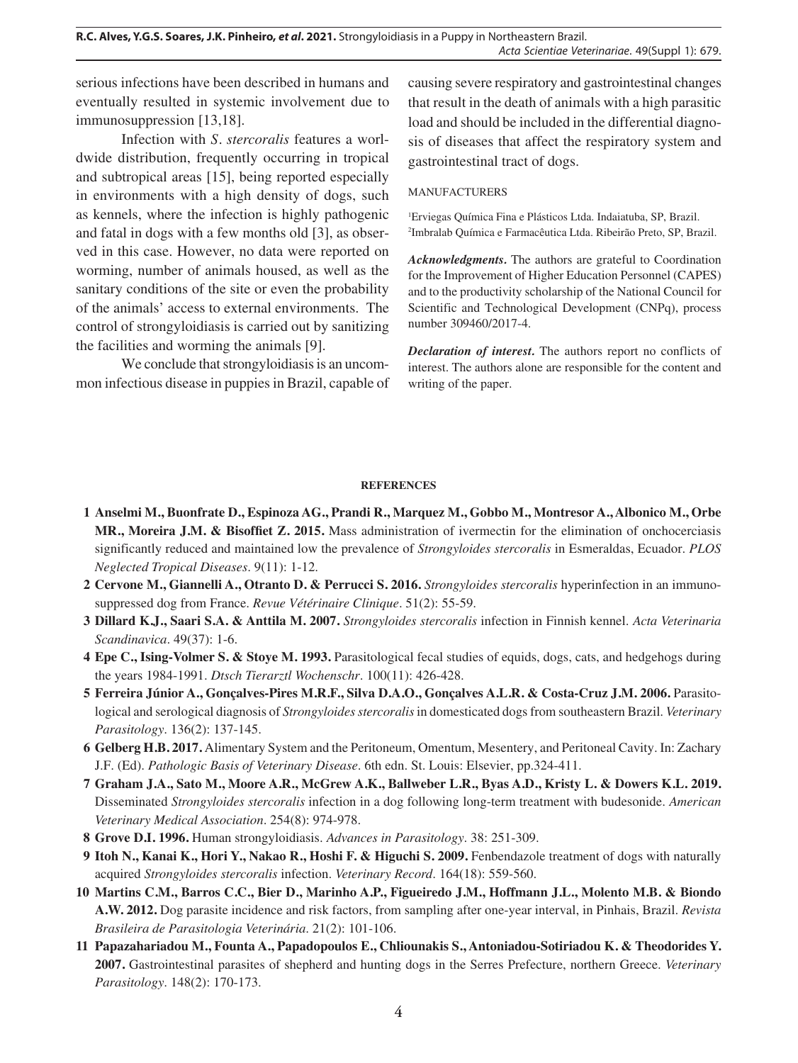**R.C. Alves, Y.G.S. Soares, J.K. Pinheiro,** *et al***. 2021.** Strongyloidiasis in a Puppy in Northeastern Brazil. *Acta Scientiae Veterinariae*. 49(Suppl 1): 679.

serious infections have been described in humans and eventually resulted in systemic involvement due to immunosuppression [13,18].

Infection with *S. stercoralis* features a worldwide distribution, frequently occurring in tropical and subtropical areas [15], being reported especially in environments with a high density of dogs, such as kennels, where the infection is highly pathogenic and fatal in dogs with a few months old [3], as observed in this case. However, no data were reported on worming, number of animals housed, as well as the sanitary conditions of the site or even the probability of the animals' access to external environments. The control of strongyloidiasis is carried out by sanitizing the facilities and worming the animals [9].

We conclude that strongyloidiasis is an uncommon infectious disease in puppies in Brazil, capable of causing severe respiratory and gastrointestinal changes that result in the death of animals with a high parasitic load and should be included in the differential diagnosis of diseases that affect the respiratory system and gastrointestinal tract of dogs.

#### MANUFACTURERS

1 Erviegas Química Fina e Plásticos Ltda. Indaiatuba, SP, Brazil. 2 Imbralab Química e Farmacêutica Ltda. Ribeirão Preto, SP, Brazil.

*Acknowledgments.* The authors are grateful to Coordination for the Improvement of Higher Education Personnel (CAPES) and to the productivity scholarship of the National Council for Scientific and Technological Development (CNPq), process number 309460/2017-4.

*Declaration of interest.* The authors report no conflicts of interest. The authors alone are responsible for the content and writing of the paper.

#### **REFERENCES**

- **1 Anselmi M., Buonfrate D., Espinoza AG., Prandi R., Marquez M., Gobbo M., Montresor A., Albonico M., Orbe MR., Moreira J.M. & Bisoffiet Z. 2015.** Mass administration of ivermectin for the elimination of onchocerciasis significantly reduced and maintained low the prevalence of *Strongyloides stercoralis* in Esmeraldas, Ecuador. *PLOS Neglected Tropical Diseases*. 9(11): 1-12.
- **2 Cervone M., Giannelli A., Otranto D. & Perrucci S. 2016.** *Strongyloides stercoralis* hyperinfection in an immunosuppressed dog from France. *Revue Vétérinaire Clinique*. 51(2): 55-59.
- **3 Dillard K.J., Saari S.A. & Anttila M. 2007.** *Strongyloides stercoralis* infection in Finnish kennel. *Acta Veterinaria Scandinavica*. 49(37): 1-6.
- **4 Epe C., Ising-Volmer S. & Stoye M. 1993.** Parasitological fecal studies of equids, dogs, cats, and hedgehogs during the years 1984-1991. *Dtsch Tierarztl Wochenschr*. 100(11): 426-428.
- **5 Ferreira Júnior A., Gonçalves-Pires M.R.F., Silva D.A.O., Gonçalves A.L.R. & Costa-Cruz J.M. 2006.** Parasitological and serological diagnosis of *Strongyloides stercoralis* in domesticated dogs from southeastern Brazil. *Veterinary Parasitology*. 136(2): 137-145.
- **6 Gelberg H.B. 2017.** Alimentary System and the Peritoneum, Omentum, Mesentery, and Peritoneal Cavity. In: Zachary J.F. (Ed). *Pathologic Basis of Veterinary Disease*. 6th edn. St. Louis: Elsevier, pp.324-411.
- **7 Graham J.A., Sato M., Moore A.R., McGrew A.K., Ballweber L.R., Byas A.D., Kristy L. & Dowers K.L. 2019.**  Disseminated *Strongyloides stercoralis* infection in a dog following long-term treatment with budesonide. *American Veterinary Medical Association*. 254(8): 974-978.
- **8 Grove D.I. 1996.** Human strongyloidiasis. *Advances in Parasitology*. 38: 251-309.
- **9 Itoh N., Kanai K., Hori Y., Nakao R., Hoshi F. & Higuchi S. 2009.** Fenbendazole treatment of dogs with naturally acquired *Strongyloides stercoralis* infection. *Veterinary Record*. 164(18): 559-560.
- **10 Martins C.M., Barros C.C., Bier D., Marinho A.P., Figueiredo J.M., Hoffmann J.L., Molento M.B. & Biondo A.W. 2012.** Dog parasite incidence and risk factors, from sampling after one-year interval, in Pinhais, Brazil. *Revista Brasileira de Parasitologia Veterinária*. 21(2): 101-106.
- **11 Papazahariadou M., Founta A., Papadopoulos E., Chliounakis S., Antoniadou-Sotiriadou K. & Theodorides Y. 2007.** Gastrointestinal parasites of shepherd and hunting dogs in the Serres Prefecture, northern Greece. *Veterinary Parasitology*. 148(2): 170-173.